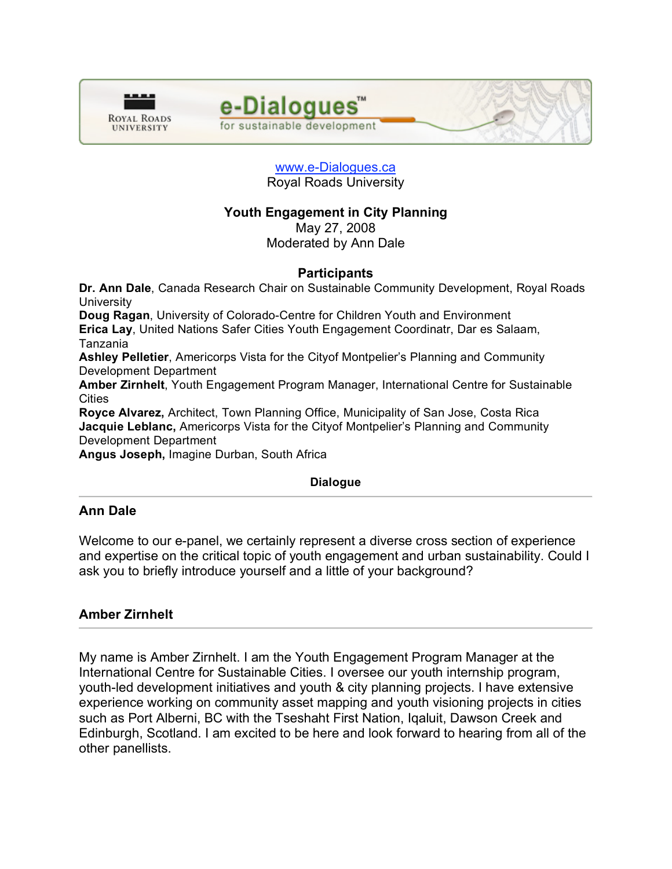



#### www.e-Dialogues.ca Royal Roads University

# **Youth Engagement in City Planning**

May 27, 2008 Moderated by Ann Dale

## **Participants**

**Dr. Ann Dale**, Canada Research Chair on Sustainable Community Development, Royal Roads **University** 

**Doug Ragan**, University of Colorado-Centre for Children Youth and Environment **Erica Lay**, United Nations Safer Cities Youth Engagement Coordinatr, Dar es Salaam, Tanzania

**Ashley Pelletier**, Americorps Vista for the Cityof Montpelier's Planning and Community Development Department

**Amber Zirnhelt**, Youth Engagement Program Manager, International Centre for Sustainable **Cities** 

**Royce Alvarez,** Architect, Town Planning Office, Municipality of San Jose, Costa Rica **Jacquie Leblanc,** Americorps Vista for the Cityof Montpelier's Planning and Community Development Department

**Angus Joseph,** Imagine Durban, South Africa

## **Dialogue**

## **Ann Dale**

Welcome to our e-panel, we certainly represent a diverse cross section of experience and expertise on the critical topic of youth engagement and urban sustainability. Could I ask you to briefly introduce yourself and a little of your background?

# **Amber Zirnhelt**

My name is Amber Zirnhelt. I am the Youth Engagement Program Manager at the International Centre for Sustainable Cities. I oversee our youth internship program, youth-led development initiatives and youth & city planning projects. I have extensive experience working on community asset mapping and youth visioning projects in cities such as Port Alberni, BC with the Tseshaht First Nation, Iqaluit, Dawson Creek and Edinburgh, Scotland. I am excited to be here and look forward to hearing from all of the other panellists.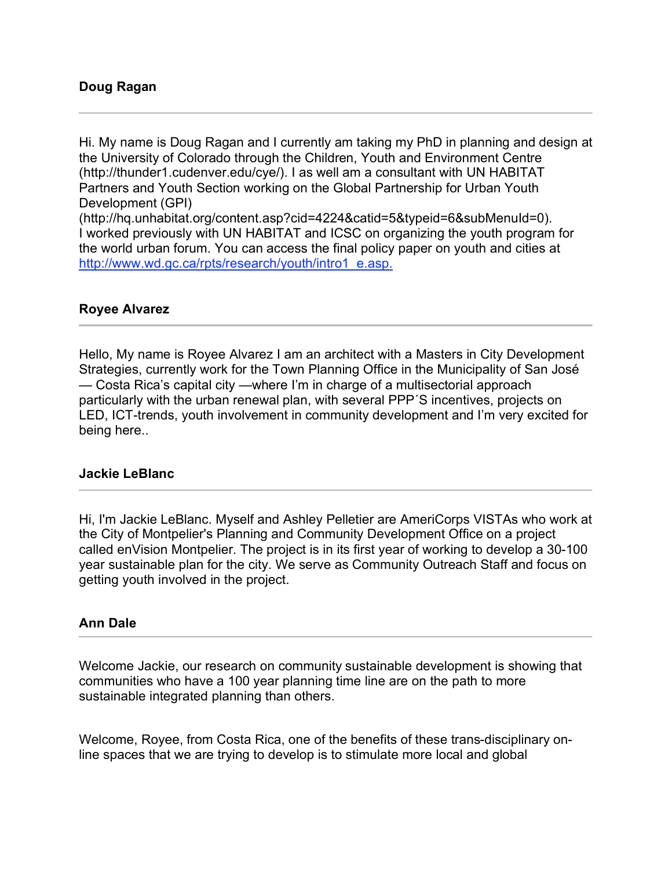### **Doug Ragan**

Hi. My name is Doug Ragan and I currently am taking my PhD in planning and design at the University of Colorado through the Children, Youth and Environment Centre (http://thunder1.cudenver.edu/cye/). I as well am a consultant with UN HABITAT Partners and Youth Section working on the Global Partnership for Urban Youth Development (GPI)

(http://hq.unhabitat.org/content.asp?cid=4224&catid=5&typeid=6&subMenuId=0). I worked previously with UN HABITAT and ICSC on organizing the youth program for the world urban forum. You can access the final policy paper on youth and cities at http://www.wd.gc.ca/rpts/research/youth/intro1\_e.asp.

### **Royee Alvarez**

Hello, My name is Royee Alvarez I am an architect with a Masters in City Development Strategies, currently work for the Town Planning Office in the Municipality of San José — Costa Rica's capital city —where I'm in charge of a multisectorial approach particularly with the urban renewal plan, with several PPP´S incentives, projects on LED, ICT-trends, youth involvement in community development and I'm very excited for being here..

### **Jackie LeBlanc**

Hi, I'm Jackie LeBlanc. Myself and Ashley Pelletier are AmeriCorps VISTAs who work at the City of Montpelier's Planning and Community Development Office on a project called enVision Montpelier. The project is in its first year of working to develop a 30-100 year sustainable plan for the city. We serve as Community Outreach Staff and focus on getting youth involved in the project.

## **Ann Dale**

Welcome Jackie, our research on community sustainable development is showing that communities who have a 100 year planning time line are on the path to more sustainable integrated planning than others.

Welcome, Royee, from Costa Rica, one of the benefits of these trans-disciplinary online spaces that we are trying to develop is to stimulate more local and global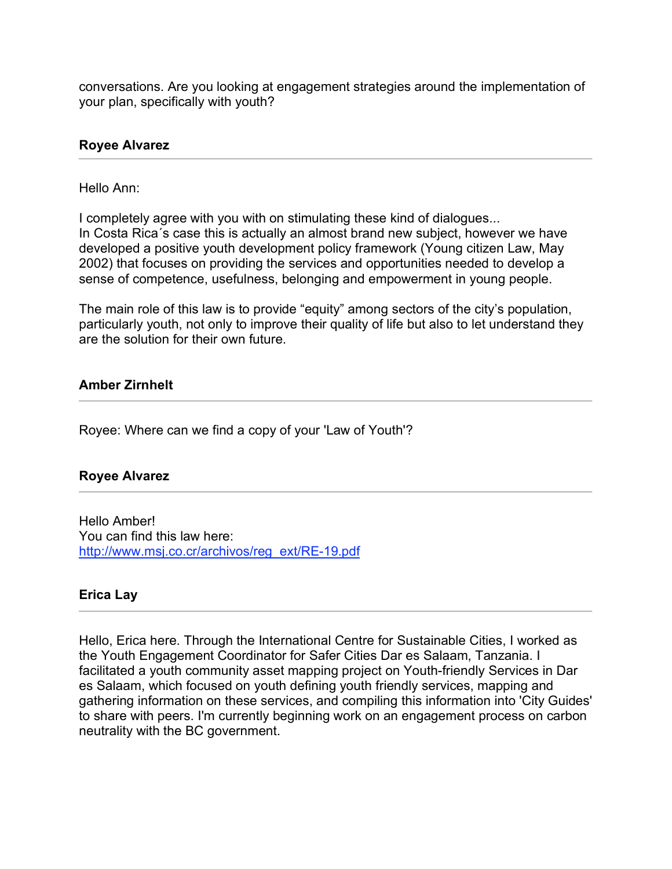conversations. Are you looking at engagement strategies around the implementation of your plan, specifically with youth?

### **Royee Alvarez**

### Hello Ann:

I completely agree with you with on stimulating these kind of dialogues... In Costa Rica´s case this is actually an almost brand new subject, however we have developed a positive youth development policy framework (Young citizen Law, May 2002) that focuses on providing the services and opportunities needed to develop a sense of competence, usefulness, belonging and empowerment in young people.

The main role of this law is to provide "equity" among sectors of the city's population, particularly youth, not only to improve their quality of life but also to let understand they are the solution for their own future.

### **Amber Zirnhelt**

Royee: Where can we find a copy of your 'Law of Youth'?

## **Royee Alvarez**

Hello Amber! You can find this law here: http://www.msj.co.cr/archivos/reg\_ext/RE-19.pdf

### **Erica Lay**

Hello, Erica here. Through the International Centre for Sustainable Cities, I worked as the Youth Engagement Coordinator for Safer Cities Dar es Salaam, Tanzania. I facilitated a youth community asset mapping project on Youth-friendly Services in Dar es Salaam, which focused on youth defining youth friendly services, mapping and gathering information on these services, and compiling this information into 'City Guides' to share with peers. I'm currently beginning work on an engagement process on carbon neutrality with the BC government.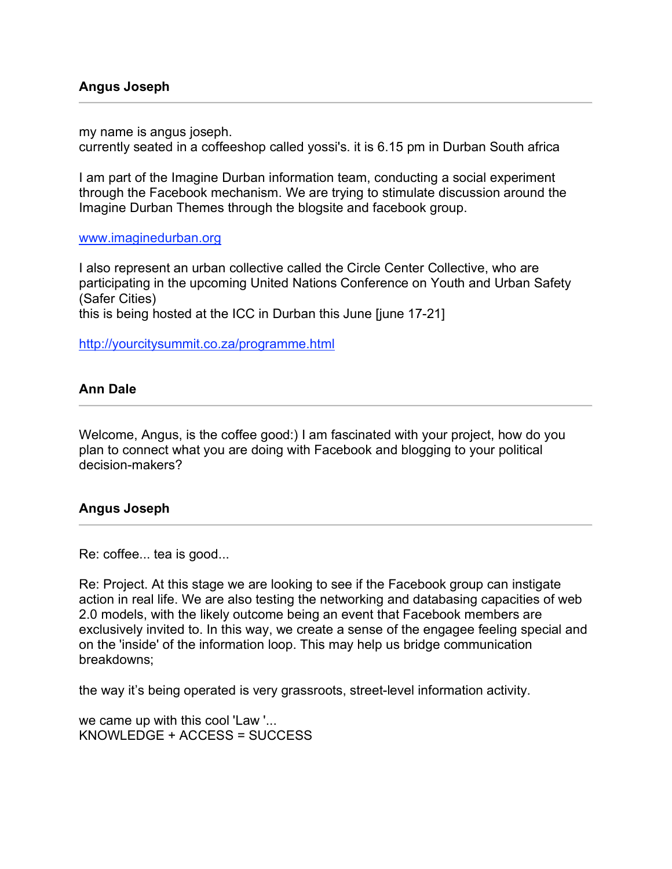my name is angus joseph.

currently seated in a coffeeshop called yossi's. it is 6.15 pm in Durban South africa

I am part of the Imagine Durban information team, conducting a social experiment through the Facebook mechanism. We are trying to stimulate discussion around the Imagine Durban Themes through the blogsite and facebook group.

www.imaginedurban.org

I also represent an urban collective called the Circle Center Collective, who are participating in the upcoming United Nations Conference on Youth and Urban Safety (Safer Cities)

this is being hosted at the ICC in Durban this June [june 17-21]

http://yourcitysummit.co.za/programme.html

### **Ann Dale**

Welcome, Angus, is the coffee good:) I am fascinated with your project, how do you plan to connect what you are doing with Facebook and blogging to your political decision-makers?

### **Angus Joseph**

Re: coffee... tea is good...

Re: Project. At this stage we are looking to see if the Facebook group can instigate action in real life. We are also testing the networking and databasing capacities of web 2.0 models, with the likely outcome being an event that Facebook members are exclusively invited to. In this way, we create a sense of the engagee feeling special and on the 'inside' of the information loop. This may help us bridge communication breakdowns;

the way it's being operated is very grassroots, street-level information activity.

we came up with this cool 'Law '... KNOWLEDGE + ACCESS = SUCCESS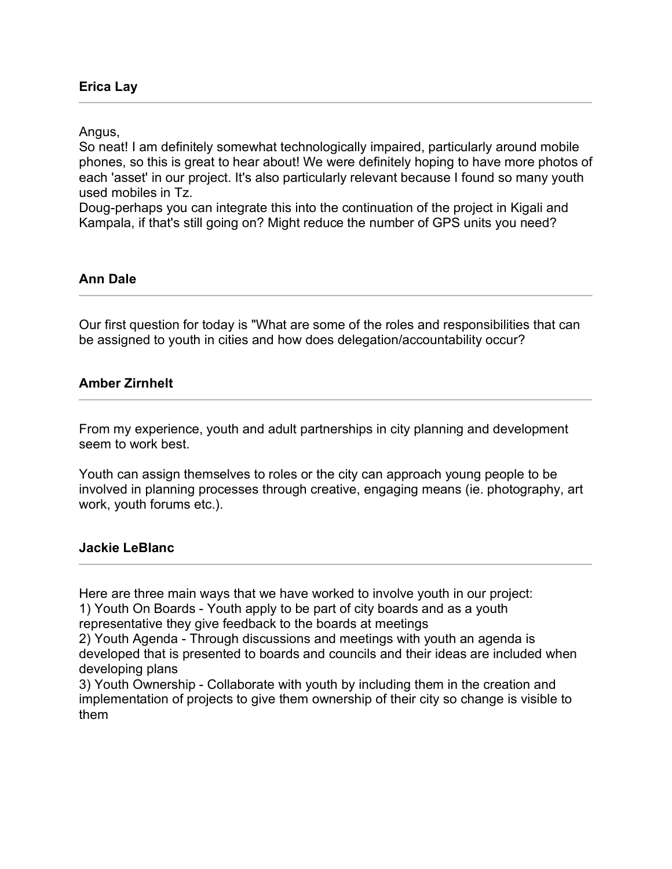### Angus,

So neat! I am definitely somewhat technologically impaired, particularly around mobile phones, so this is great to hear about! We were definitely hoping to have more photos of each 'asset' in our project. It's also particularly relevant because I found so many youth used mobiles in Tz.

Doug-perhaps you can integrate this into the continuation of the project in Kigali and Kampala, if that's still going on? Might reduce the number of GPS units you need?

### **Ann Dale**

Our first question for today is "What are some of the roles and responsibilities that can be assigned to youth in cities and how does delegation/accountability occur?

### **Amber Zirnhelt**

From my experience, youth and adult partnerships in city planning and development seem to work best.

Youth can assign themselves to roles or the city can approach young people to be involved in planning processes through creative, engaging means (ie. photography, art work, youth forums etc.).

### **Jackie LeBlanc**

Here are three main ways that we have worked to involve youth in our project:

1) Youth On Boards - Youth apply to be part of city boards and as a youth representative they give feedback to the boards at meetings

2) Youth Agenda - Through discussions and meetings with youth an agenda is developed that is presented to boards and councils and their ideas are included when developing plans

3) Youth Ownership - Collaborate with youth by including them in the creation and implementation of projects to give them ownership of their city so change is visible to them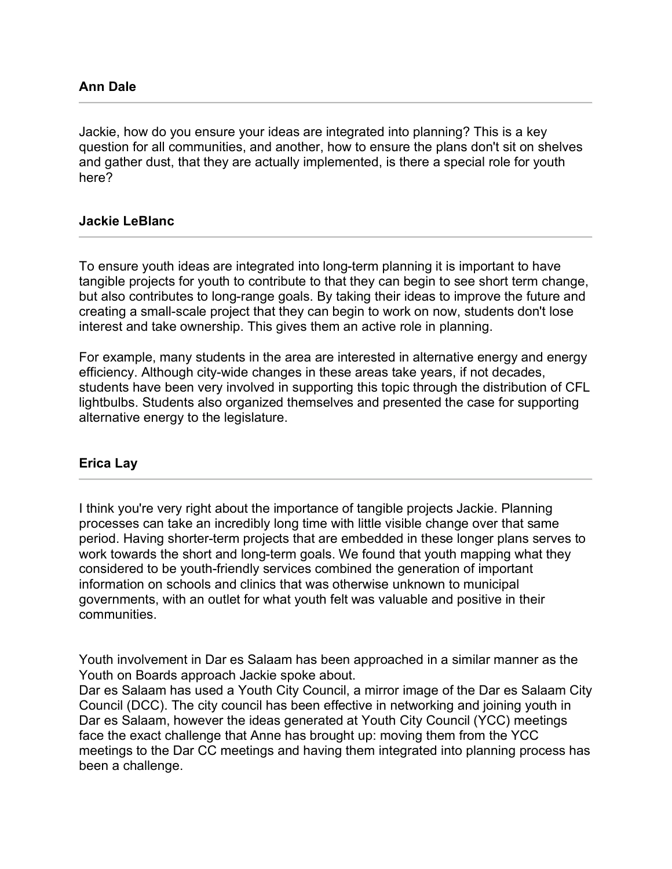Jackie, how do you ensure your ideas are integrated into planning? This is a key question for all communities, and another, how to ensure the plans don't sit on shelves and gather dust, that they are actually implemented, is there a special role for youth here?

### **Jackie LeBlanc**

To ensure youth ideas are integrated into long-term planning it is important to have tangible projects for youth to contribute to that they can begin to see short term change, but also contributes to long-range goals. By taking their ideas to improve the future and creating a small-scale project that they can begin to work on now, students don't lose interest and take ownership. This gives them an active role in planning.

For example, many students in the area are interested in alternative energy and energy efficiency. Although city-wide changes in these areas take years, if not decades, students have been very involved in supporting this topic through the distribution of CFL lightbulbs. Students also organized themselves and presented the case for supporting alternative energy to the legislature.

### **Erica Lay**

I think you're very right about the importance of tangible projects Jackie. Planning processes can take an incredibly long time with little visible change over that same period. Having shorter-term projects that are embedded in these longer plans serves to work towards the short and long-term goals. We found that youth mapping what they considered to be youth-friendly services combined the generation of important information on schools and clinics that was otherwise unknown to municipal governments, with an outlet for what youth felt was valuable and positive in their communities.

Youth involvement in Dar es Salaam has been approached in a similar manner as the Youth on Boards approach Jackie spoke about.

Dar es Salaam has used a Youth City Council, a mirror image of the Dar es Salaam City Council (DCC). The city council has been effective in networking and joining youth in Dar es Salaam, however the ideas generated at Youth City Council (YCC) meetings face the exact challenge that Anne has brought up: moving them from the YCC meetings to the Dar CC meetings and having them integrated into planning process has been a challenge.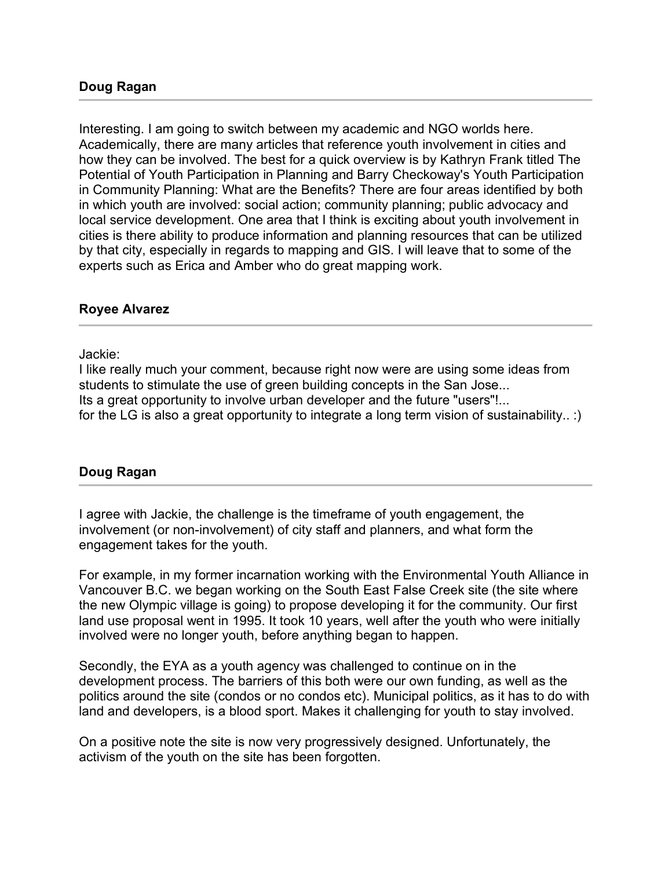Interesting. I am going to switch between my academic and NGO worlds here. Academically, there are many articles that reference youth involvement in cities and how they can be involved. The best for a quick overview is by Kathryn Frank titled The Potential of Youth Participation in Planning and Barry Checkoway's Youth Participation in Community Planning: What are the Benefits? There are four areas identified by both in which youth are involved: social action; community planning; public advocacy and local service development. One area that I think is exciting about youth involvement in cities is there ability to produce information and planning resources that can be utilized by that city, especially in regards to mapping and GIS. I will leave that to some of the experts such as Erica and Amber who do great mapping work.

### **Royee Alvarez**

Jackie:

I like really much your comment, because right now were are using some ideas from students to stimulate the use of green building concepts in the San Jose... Its a great opportunity to involve urban developer and the future "users"!... for the LG is also a great opportunity to integrate a long term vision of sustainability.. :)

## **Doug Ragan**

I agree with Jackie, the challenge is the timeframe of youth engagement, the involvement (or non-involvement) of city staff and planners, and what form the engagement takes for the youth.

For example, in my former incarnation working with the Environmental Youth Alliance in Vancouver B.C. we began working on the South East False Creek site (the site where the new Olympic village is going) to propose developing it for the community. Our first land use proposal went in 1995. It took 10 years, well after the youth who were initially involved were no longer youth, before anything began to happen.

Secondly, the EYA as a youth agency was challenged to continue on in the development process. The barriers of this both were our own funding, as well as the politics around the site (condos or no condos etc). Municipal politics, as it has to do with land and developers, is a blood sport. Makes it challenging for youth to stay involved.

On a positive note the site is now very progressively designed. Unfortunately, the activism of the youth on the site has been forgotten.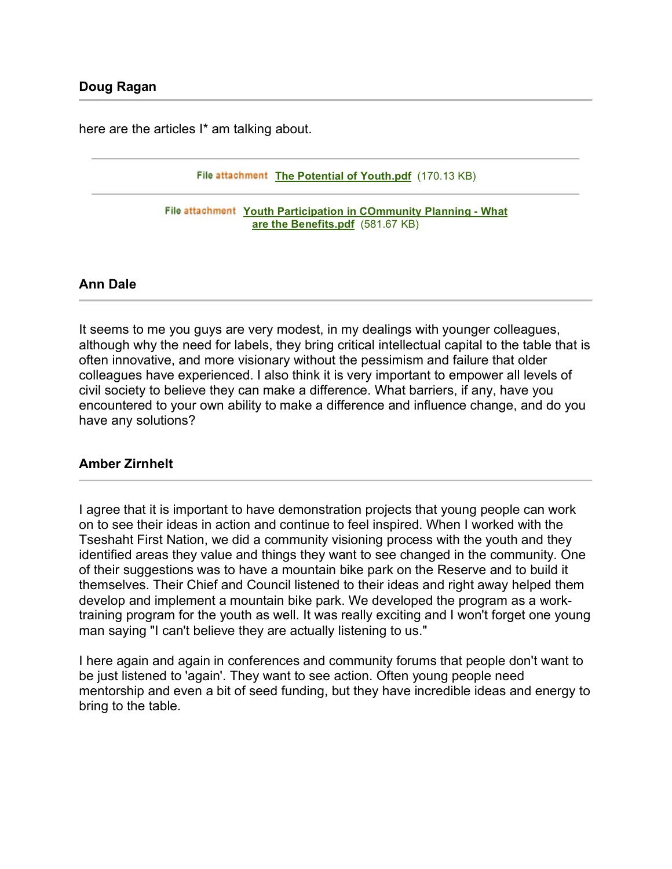here are the articles I<sup>\*</sup> am talking about.

File attachment The Potential of Youth.pdf (170.13 KB)

**File attachment Youth Participation in COmmunity Planning - What are the Benefits.pdf** (581.67 KB)

### **Ann Dale**

It seems to me you guys are very modest, in my dealings with younger colleagues, although why the need for labels, they bring critical intellectual capital to the table that is often innovative, and more visionary without the pessimism and failure that older colleagues have experienced. I also think it is very important to empower all levels of civil society to believe they can make a difference. What barriers, if any, have you encountered to your own ability to make a difference and influence change, and do you have any solutions?

### **Amber Zirnhelt**

I agree that it is important to have demonstration projects that young people can work on to see their ideas in action and continue to feel inspired. When I worked with the Tseshaht First Nation, we did a community visioning process with the youth and they identified areas they value and things they want to see changed in the community. One of their suggestions was to have a mountain bike park on the Reserve and to build it themselves. Their Chief and Council listened to their ideas and right away helped them develop and implement a mountain bike park. We developed the program as a worktraining program for the youth as well. It was really exciting and I won't forget one young man saying "I can't believe they are actually listening to us."

I here again and again in conferences and community forums that people don't want to be just listened to 'again'. They want to see action. Often young people need mentorship and even a bit of seed funding, but they have incredible ideas and energy to bring to the table.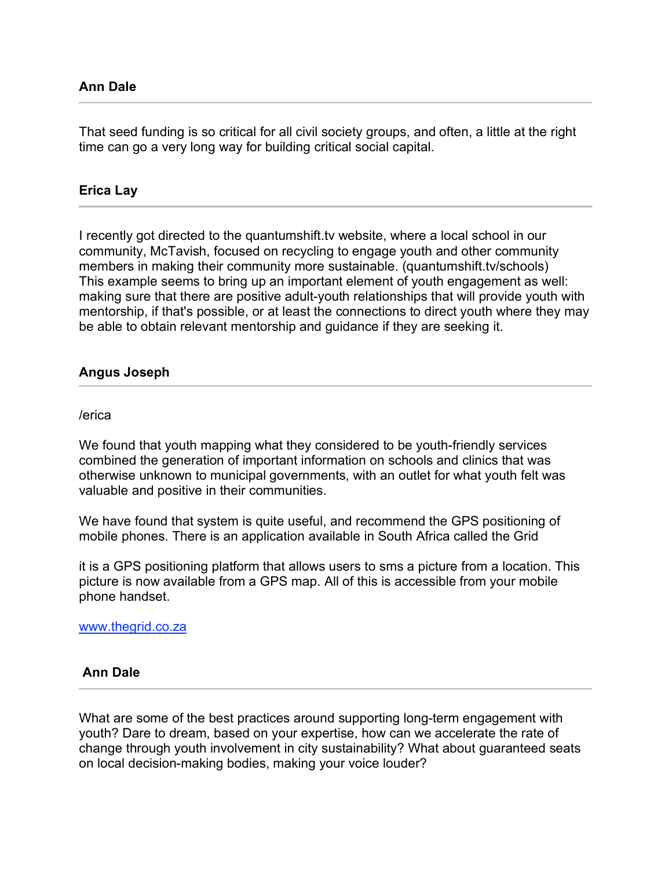That seed funding is so critical for all civil society groups, and often, a little at the right time can go a very long way for building critical social capital.

## **Erica Lay**

I recently got directed to the quantumshift.tv website, where a local school in our community, McTavish, focused on recycling to engage youth and other community members in making their community more sustainable. (quantumshift.tv/schools) This example seems to bring up an important element of youth engagement as well: making sure that there are positive adult-youth relationships that will provide youth with mentorship, if that's possible, or at least the connections to direct youth where they may be able to obtain relevant mentorship and guidance if they are seeking it.

### **Angus Joseph**

#### /erica

We found that youth mapping what they considered to be youth-friendly services combined the generation of important information on schools and clinics that was otherwise unknown to municipal governments, with an outlet for what youth felt was valuable and positive in their communities.

We have found that system is quite useful, and recommend the GPS positioning of mobile phones. There is an application available in South Africa called the Grid

it is a GPS positioning platform that allows users to sms a picture from a location. This picture is now available from a GPS map. All of this is accessible from your mobile phone handset.

#### www.thegrid.co.za

### **Ann Dale**

What are some of the best practices around supporting long-term engagement with youth? Dare to dream, based on your expertise, how can we accelerate the rate of change through youth involvement in city sustainability? What about guaranteed seats on local decision-making bodies, making your voice louder?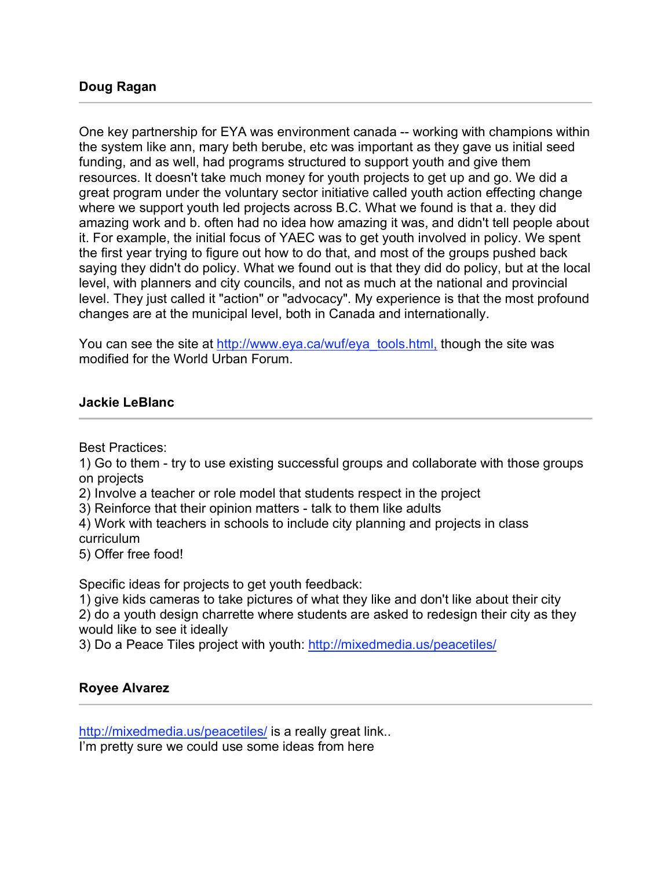One key partnership for EYA was environment canada -- working with champions within the system like ann, mary beth berube, etc was important as they gave us initial seed funding, and as well, had programs structured to support youth and give them resources. It doesn't take much money for youth projects to get up and go. We did a great program under the voluntary sector initiative called youth action effecting change where we support youth led projects across B.C. What we found is that a. they did amazing work and b. often had no idea how amazing it was, and didn't tell people about it. For example, the initial focus of YAEC was to get youth involved in policy. We spent the first year trying to figure out how to do that, and most of the groups pushed back saying they didn't do policy. What we found out is that they did do policy, but at the local level, with planners and city councils, and not as much at the national and provincial level. They just called it "action" or "advocacy". My experience is that the most profound changes are at the municipal level, both in Canada and internationally.

You can see the site at http://www.eya.ca/wuf/eya\_tools.html, though the site was modified for the World Urban Forum.

# **Jackie LeBlanc**

Best Practices:

1) Go to them - try to use existing successful groups and collaborate with those groups on projects

2) Involve a teacher or role model that students respect in the project

3) Reinforce that their opinion matters - talk to them like adults

4) Work with teachers in schools to include city planning and projects in class curriculum

5) Offer free food!

Specific ideas for projects to get youth feedback:

1) give kids cameras to take pictures of what they like and don't like about their city 2) do a youth design charrette where students are asked to redesign their city as they would like to see it ideally

3) Do a Peace Tiles project with youth: http://mixedmedia.us/peacetiles/

# **Royee Alvarez**

http://mixedmedia.us/peacetiles/ is a really great link... I'm pretty sure we could use some ideas from here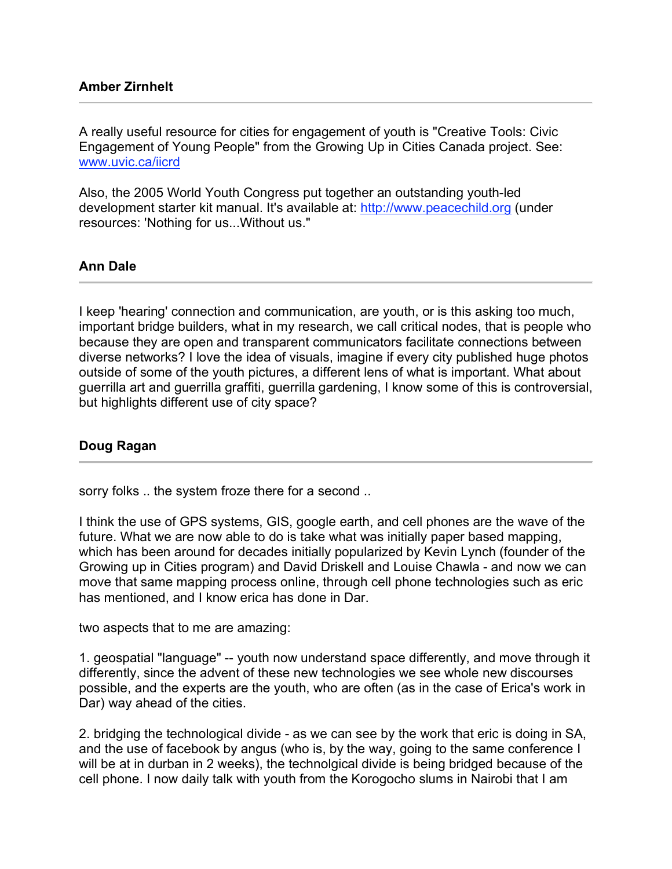A really useful resource for cities for engagement of youth is "Creative Tools: Civic Engagement of Young People" from the Growing Up in Cities Canada project. See: www.uvic.ca/iicrd

Also, the 2005 World Youth Congress put together an outstanding youth-led development starter kit manual. It's available at: http://www.peacechild.org (under resources: 'Nothing for us...Without us."

## **Ann Dale**

I keep 'hearing' connection and communication, are youth, or is this asking too much, important bridge builders, what in my research, we call critical nodes, that is people who because they are open and transparent communicators facilitate connections between diverse networks? I love the idea of visuals, imagine if every city published huge photos outside of some of the youth pictures, a different lens of what is important. What about guerrilla art and guerrilla graffiti, guerrilla gardening, I know some of this is controversial, but highlights different use of city space?

## **Doug Ragan**

sorry folks .. the system froze there for a second ..

I think the use of GPS systems, GIS, google earth, and cell phones are the wave of the future. What we are now able to do is take what was initially paper based mapping, which has been around for decades initially popularized by Kevin Lynch (founder of the Growing up in Cities program) and David Driskell and Louise Chawla - and now we can move that same mapping process online, through cell phone technologies such as eric has mentioned, and I know erica has done in Dar.

two aspects that to me are amazing:

1. geospatial "language" -- youth now understand space differently, and move through it differently, since the advent of these new technologies we see whole new discourses possible, and the experts are the youth, who are often (as in the case of Erica's work in Dar) way ahead of the cities.

2. bridging the technological divide - as we can see by the work that eric is doing in SA, and the use of facebook by angus (who is, by the way, going to the same conference I will be at in durban in 2 weeks), the technolgical divide is being bridged because of the cell phone. I now daily talk with youth from the Korogocho slums in Nairobi that I am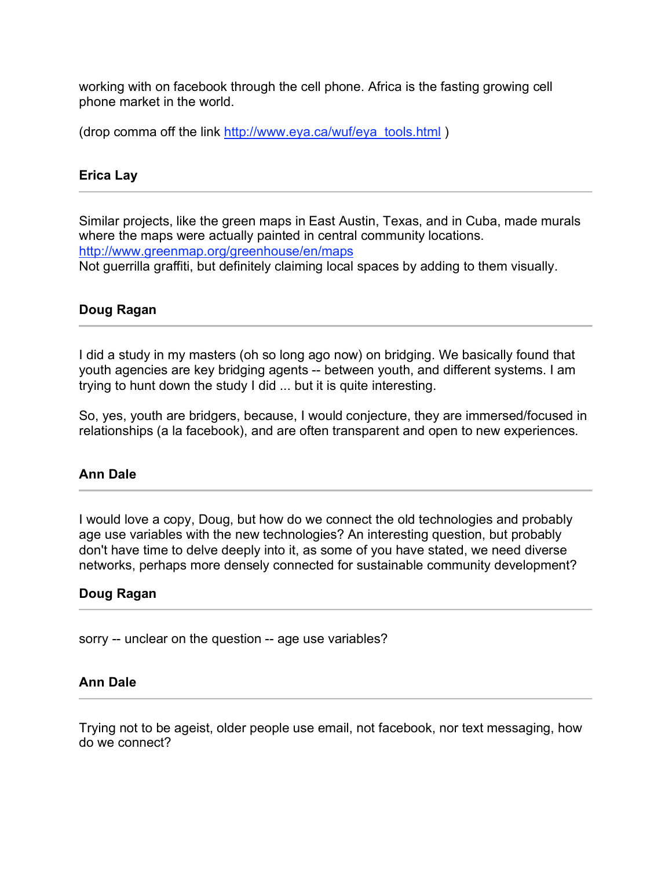working with on facebook through the cell phone. Africa is the fasting growing cell phone market in the world.

(drop comma off the link http://www.eya.ca/wuf/eya\_tools.html)

## **Erica Lay**

Similar projects, like the green maps in East Austin, Texas, and in Cuba, made murals where the maps were actually painted in central community locations. http://www.greenmap.org/greenhouse/en/maps Not guerrilla graffiti, but definitely claiming local spaces by adding to them visually.

## **Doug Ragan**

I did a study in my masters (oh so long ago now) on bridging. We basically found that youth agencies are key bridging agents -- between youth, and different systems. I am trying to hunt down the study I did ... but it is quite interesting.

So, yes, youth are bridgers, because, I would conjecture, they are immersed/focused in relationships (a la facebook), and are often transparent and open to new experiences.

## **Ann Dale**

I would love a copy, Doug, but how do we connect the old technologies and probably age use variables with the new technologies? An interesting question, but probably don't have time to delve deeply into it, as some of you have stated, we need diverse networks, perhaps more densely connected for sustainable community development?

### **Doug Ragan**

sorry -- unclear on the question -- age use variables?

### **Ann Dale**

Trying not to be ageist, older people use email, not facebook, nor text messaging, how do we connect?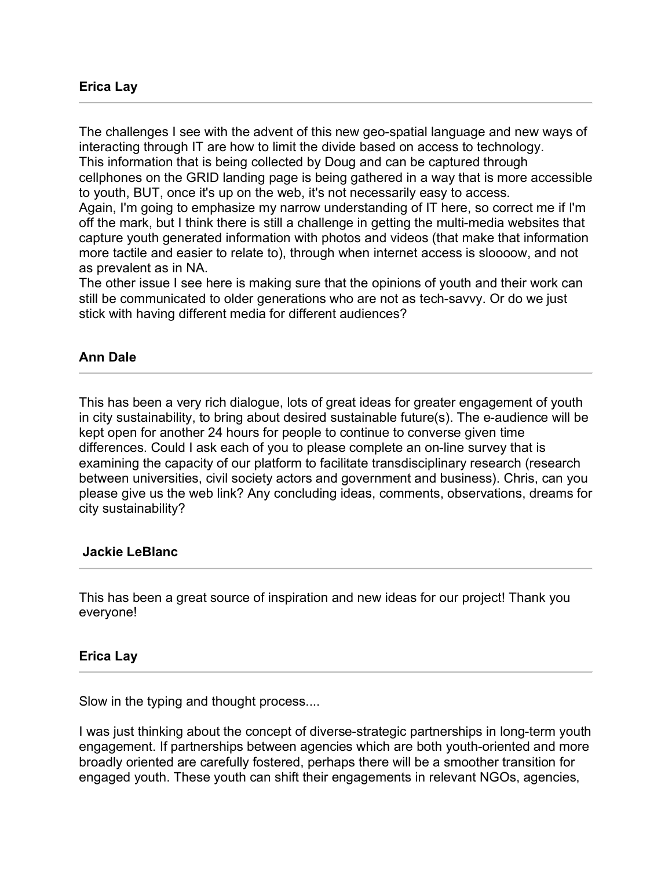The challenges I see with the advent of this new geo-spatial language and new ways of interacting through IT are how to limit the divide based on access to technology. This information that is being collected by Doug and can be captured through cellphones on the GRID landing page is being gathered in a way that is more accessible to youth, BUT, once it's up on the web, it's not necessarily easy to access. Again, I'm going to emphasize my narrow understanding of IT here, so correct me if I'm off the mark, but I think there is still a challenge in getting the multi-media websites that capture youth generated information with photos and videos (that make that information more tactile and easier to relate to), through when internet access is sloooow, and not

as prevalent as in NA.

The other issue I see here is making sure that the opinions of youth and their work can still be communicated to older generations who are not as tech-savvy. Or do we just stick with having different media for different audiences?

## **Ann Dale**

This has been a very rich dialogue, lots of great ideas for greater engagement of youth in city sustainability, to bring about desired sustainable future(s). The e-audience will be kept open for another 24 hours for people to continue to converse given time differences. Could I ask each of you to please complete an on-line survey that is examining the capacity of our platform to facilitate transdisciplinary research (research between universities, civil society actors and government and business). Chris, can you please give us the web link? Any concluding ideas, comments, observations, dreams for city sustainability?

## **Jackie LeBlanc**

This has been a great source of inspiration and new ideas for our project! Thank you everyone!

### **Erica Lay**

Slow in the typing and thought process....

I was just thinking about the concept of diverse-strategic partnerships in long-term youth engagement. If partnerships between agencies which are both youth-oriented and more broadly oriented are carefully fostered, perhaps there will be a smoother transition for engaged youth. These youth can shift their engagements in relevant NGOs, agencies,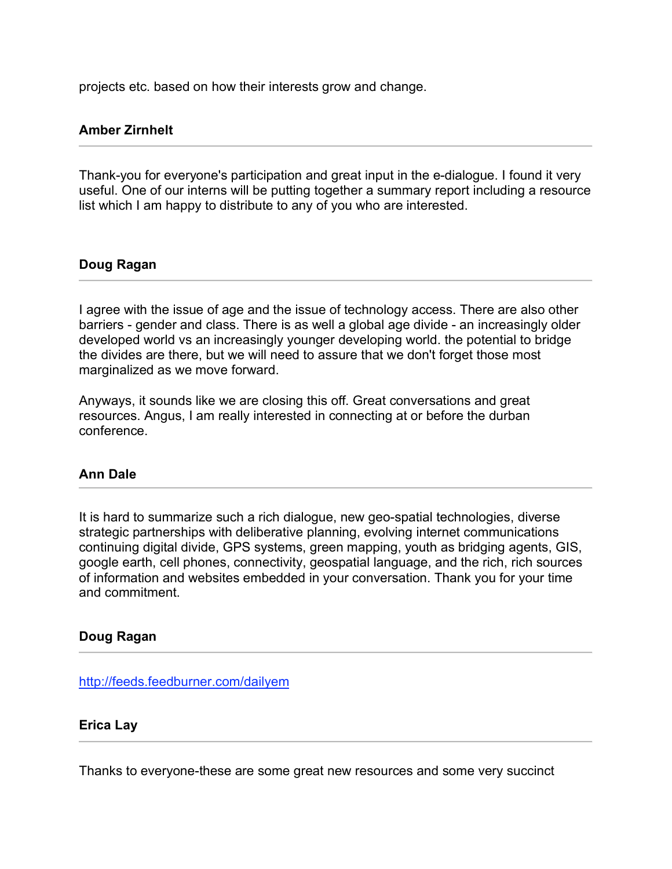projects etc. based on how their interests grow and change.

## **Amber Zirnhelt**

Thank-you for everyone's participation and great input in the e-dialogue. I found it very useful. One of our interns will be putting together a summary report including a resource list which I am happy to distribute to any of you who are interested.

## **Doug Ragan**

I agree with the issue of age and the issue of technology access. There are also other barriers - gender and class. There is as well a global age divide - an increasingly older developed world vs an increasingly younger developing world. the potential to bridge the divides are there, but we will need to assure that we don't forget those most marginalized as we move forward.

Anyways, it sounds like we are closing this off. Great conversations and great resources. Angus, I am really interested in connecting at or before the durban conference.

## **Ann Dale**

It is hard to summarize such a rich dialogue, new geo-spatial technologies, diverse strategic partnerships with deliberative planning, evolving internet communications continuing digital divide, GPS systems, green mapping, youth as bridging agents, GIS, google earth, cell phones, connectivity, geospatial language, and the rich, rich sources of information and websites embedded in your conversation. Thank you for your time and commitment.

## **Doug Ragan**

http://feeds.feedburner.com/dailyem

### **Erica Lay**

Thanks to everyone-these are some great new resources and some very succinct